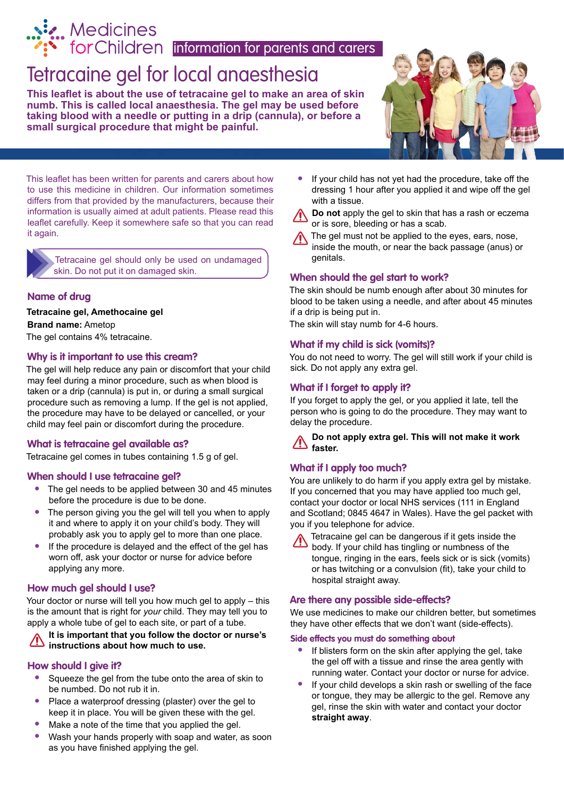# ig. Medicines

**information** for parents and carers

## [Tetracaine gel for local anaesthesia](http://www.medicinesforchildren.org.uk)

**This leaflet is about the use of tetracaine gel to make an area of skin numb. This is called local anaesthesia. The gel may be used before taking blood with a needle or putting in a drip (cannula), or before a small surgical procedure that might be painful.**



This leaflet has been written for parents and carers about how to use this medicine in children. Our information sometimes differs from that provided by the manufacturers, because their information is usually aimed at adult patients. Please read this leaflet carefully. Keep it somewhere safe so that you can read it again.

 Tetracaine gel should only be used on undamaged skin. Do not put it on damaged skin.

#### **Name of drug**

#### **Tetracaine gel, Amethocaine gel Brand name:** Ametop

The gel contains 4% tetracaine.

#### **Why is it important to use this cream?**

The gel will help reduce any pain or discomfort that your child may feel during a minor procedure, such as when blood is taken or a drip (cannula) is put in, or during a small surgical procedure such as removing a lump. If the gel is not applied, the procedure may have to be delayed or cancelled, or your child may feel pain or discomfort during the procedure.

#### **What is tetracaine gel available as?**

Tetracaine gel comes in tubes containing 1.5 g of gel.

#### **When should I use tetracaine gel?**

- **•** The gel needs to be applied between 30 and 45 minutes before the procedure is due to be done.
- **•** The person giving you the gel will tell you when to apply it and where to apply it on your child's body. They will probably ask you to apply gel to more than one place.
- **•** If the procedure is delayed and the effect of the gel has worn off, ask your doctor or nurse for advice before applying any more.

#### **How much gel should I use?**

Your doctor or nurse will tell you how much gel to apply – this is the amount that is right for *your* child. They may tell you to apply a whole tube of gel to each site, or part of a tube.

#### **It is important that you follow the doctor or nurse's instructions about how much to use.**

#### **How should I give it?**

- **•** Squeeze the gel from the tube onto the area of skin to be numbed. Do not rub it in.
- **•** Place a waterproof dressing (plaster) over the gel to keep it in place. You will be given these with the gel.
- **•** Make a note of the time that you applied the gel.
- **•** Wash your hands properly with soap and water, as soon as you have finished applying the gel.
- **•** If your child has not yet had the procedure, take off the dressing 1 hour after you applied it and wipe off the gel with a tissue.
- **Do not** apply the gel to skin that has a rash or eczema or is sore, bleeding or has a scab.
- The gel must not be applied to the eyes, ears, nose, inside the mouth, or near the back passage (anus) or genitals.

#### **When should the gel start to work?**

The skin should be numb enough after about 30 minutes for blood to be taken using a needle, and after about 45 minutes if a drip is being put in.

The skin will stay numb for 4-6 hours.

#### **What if my child is sick (vomits)?**

You do not need to worry. The gel will still work if your child is sick. Do not apply any extra gel.

#### **What if I forget to apply it?**

If you forget to apply the gel, or you applied it late, tell the person who is going to do the procedure. They may want to delay the procedure.

**Do not apply extra gel. This will not make it work faster.**

#### **What if I apply too much?**

You are unlikely to do harm if you apply extra gel by mistake. If you concerned that you may have applied too much gel, contact your doctor or local NHS services (111 in England and Scotland; 0845 4647 in Wales). Have the gel packet with you if you telephone for advice.

Tetracaine gel can be dangerous if it gets inside the body. If your child has tingling or numbness of the tongue, ringing in the ears, feels sick or is sick (vomits) or has twitching or a convulsion (fit), take your child to hospital straight away.

#### **Are there any possible side-effects?**

We use medicines to make our children better, but sometimes they have other effects that we don't want (side-effects).

#### **Side effects you must do something about**

- **•** If blisters form on the skin after applying the gel, take the gel off with a tissue and rinse the area gently with running water. Contact your doctor or nurse for advice.
- **•** If your child develops a skin rash or swelling of the face or tongue, they may be allergic to the gel. Remove any gel, rinse the skin with water and contact your doctor **straight away**.